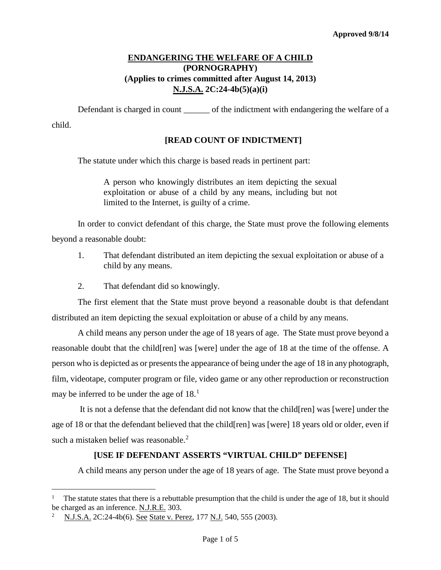# **ENDANGERING THE WELFARE OF A CHILD (PORNOGRAPHY) (Applies to crimes committed after August 14, 2013) N.J.S.A. 2C:24-4b(5)(a)(i)**

Defendant is charged in count \_\_\_\_\_\_\_ of the indictment with endangering the welfare of a child.

#### **[READ COUNT OF INDICTMENT]**

The statute under which this charge is based reads in pertinent part:

A person who knowingly distributes an item depicting the sexual exploitation or abuse of a child by any means, including but not limited to the Internet, is guilty of a crime.

In order to convict defendant of this charge, the State must prove the following elements beyond a reasonable doubt:

- 1. That defendant distributed an item depicting the sexual exploitation or abuse of a child by any means.
- 2. That defendant did so knowingly.

The first element that the State must prove beyond a reasonable doubt is that defendant distributed an item depicting the sexual exploitation or abuse of a child by any means.

A child means any person under the age of 18 years of age. The State must prove beyond a reasonable doubt that the child[ren] was [were] under the age of 18 at the time of the offense. A person who is depicted as or presents the appearance of being under the age of 18 in any photograph, film, videotape, computer program or file, video game or any other reproduction or reconstruction may be inferred to be under the age of  $18<sup>1</sup>$  $18<sup>1</sup>$ .

It is not a defense that the defendant did not know that the child[ren] was [were] under the age of 18 or that the defendant believed that the child[ren] was [were] 18 years old or older, even if such a mistaken belief was reasonable.<sup>[2](#page-0-1)</sup>

#### **[USE IF DEFENDANT ASSERTS "VIRTUAL CHILD" DEFENSE]**

A child means any person under the age of 18 years of age. The State must prove beyond a

<span id="page-0-0"></span>The statute states that there is a rebuttable presumption that the child is under the age of 18, but it should be charged as an inference. N.J.R.E. 303. Ĩ.

<span id="page-0-1"></span>N.J.S.A. 2C:24-4b(6). See State v. Perez, 177 N.J. 540, 555 (2003).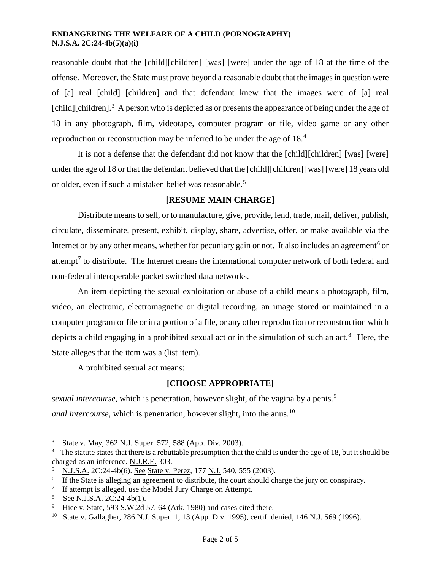reasonable doubt that the [child][children] [was] [were] under the age of 18 at the time of the offense. Moreover, the State must prove beyond a reasonable doubt that the images in question were of [a] real [child] [children] and that defendant knew that the images were of [a] real  $[child][children]$ <sup>[3](#page-1-0)</sup> A person who is depicted as or presents the appearance of being under the age of 18 in any photograph, film, videotape, computer program or file, video game or any other reproduction or reconstruction may be inferred to be under the age of 18.[4](#page-1-1)

It is not a defense that the defendant did not know that the [child][children] [was] [were] under the age of 18 or that the defendant believed that the [child][children] [was] [were] 18 years old or older, even if such a mistaken belief was reasonable.<sup>[5](#page-1-2)</sup>

# **[RESUME MAIN CHARGE]**

Distribute means to sell, or to manufacture, give, provide, lend, trade, mail, deliver, publish, circulate, disseminate, present, exhibit, display, share, advertise, offer, or make available via the Internet or by any other means, whether for pecuniary gain or not. It also includes an agreement<sup>[6](#page-1-3)</sup> or attempt<sup>[7](#page-1-4)</sup> to distribute. The Internet means the international computer network of both federal and non-federal interoperable packet switched data networks.

An item depicting the sexual exploitation or abuse of a child means a photograph, film, video, an electronic, electromagnetic or digital recording, an image stored or maintained in a computer program or file or in a portion of a file, or any other reproduction or reconstruction which depicts a child engaging in a prohibited sexual act or in the simulation of such an act.<sup>[8](#page-1-5)</sup> Here, the State alleges that the item was a (list item).

A prohibited sexual act means:

# **[CHOOSE APPROPRIATE]**

*sexual intercourse*, which is penetration, however slight, of the vagina by a penis.<sup>[9](#page-1-6)</sup> *anal intercourse*, which is penetration, however slight, into the anus.<sup>[10](#page-1-7)</sup>

State v. May, 362 N.J. Super. 572, 588 (App. Div. 2003). Ĩ.

<span id="page-1-1"></span><span id="page-1-0"></span><sup>&</sup>lt;sup>4</sup> The statute states that there is a rebuttable presumption that the child is under the age of 18, but it should be charged as an inference. N.J.R.E. 303.

<span id="page-1-2"></span><sup>&</sup>lt;sup>5</sup> N.J.S.A. 2C:24-4b(6). See State v. Perez, 177 N.J. 540, 555 (2003).

<span id="page-1-3"></span><sup>&</sup>lt;sup>6</sup> If the State is alleging an agreement to distribute, the court should charge the jury on conspiracy.

<span id="page-1-4"></span><sup>7</sup> If attempt is alleged, use the Model Jury Charge on Attempt.

<span id="page-1-5"></span><sup>8</sup>  $rac{8}{9}$  See N.J.S.A. 2C:24-4b(1).

<span id="page-1-6"></span>Hice v. State, 593 S.W.2d 57, 64 (Ark. 1980) and cases cited there.

<span id="page-1-7"></span><sup>10</sup> State v. Gallagher, 286 N.J. Super. 1, 13 (App. Div. 1995), certif. denied, 146 N.J. 569 (1996).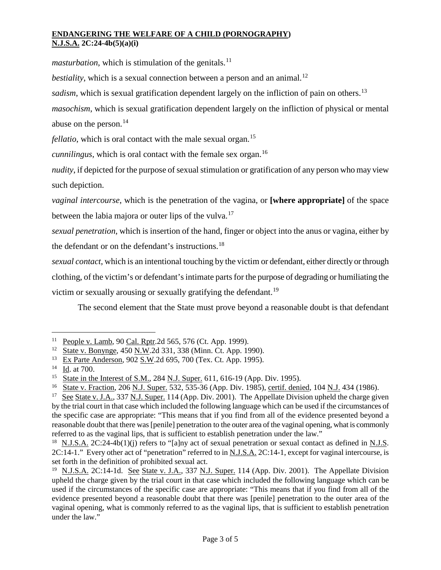*masturbation*, which is stimulation of the genitals.<sup>[11](#page-2-0)</sup>

*bestiality*, which is a sexual connection between a person and an animal.<sup>12</sup>

sadism, which is sexual gratification dependent largely on the infliction of pain on others.<sup>[13](#page-2-2)</sup>

*masochism*, which is sexual gratification dependent largely on the infliction of physical or mental abuse on the person.<sup>[14](#page-2-3)</sup>

*fellatio*, which is oral contact with the male sexual organ.<sup>[15](#page-2-4)</sup>

*cunnilingus*, which is oral contact with the female sex organ.<sup>[16](#page-2-5)</sup>

*nudity*, if depicted for the purpose of sexual stimulation or gratification of any person who may view such depiction.

*vaginal intercourse*, which is the penetration of the vagina, or **[where appropriate]** of the space between the labia majora or outer lips of the vulva.<sup>[17](#page-2-6)</sup>

*sexual penetration*, which is insertion of the hand, finger or object into the anus or vagina, either by the defendant or on the defendant's instructions.<sup>[18](#page-2-7)</sup>

*sexual contact*, which is an intentional touching by the victim or defendant, either directly or through clothing, of the victim's or defendant's intimate parts for the purpose of degrading or humiliating the victim or sexually arousing or sexually gratifying the defendant.<sup>[19](#page-2-8)</sup>

The second element that the State must prove beyond a reasonable doubt is that defendant

<span id="page-2-0"></span><sup>&</sup>lt;sup>11</sup> People v. Lamb, 90 Cal. Rptr. 2d 565, 576 (Ct. App. 1999). Ĩ.

<span id="page-2-1"></span><sup>12</sup> State v. Bonynge, 450 N.W.2d 331, 338 (Minn. Ct. App. 1990).

<span id="page-2-2"></span><sup>13</sup> Ex Parte Anderson, 902 S.W.2d 695, 700 (Tex. Ct. App. 1995).

<span id="page-2-3"></span><sup>14</sup> Id. at 700.

<span id="page-2-4"></span><sup>&</sup>lt;sup>15</sup> State in the Interest of S.M., 284 N.J. Super. 611, 616-19 (App. Div. 1995).

<span id="page-2-5"></span><sup>&</sup>lt;sup>16</sup> State v. Fraction, 206 N.J. Super. 532, 535-36 (App. Div. 1985), certif. denied, 104 N.J. 434 (1986).

<span id="page-2-6"></span><sup>&</sup>lt;sup>17</sup> See State v. J.A., 337 N.J. Super. 114 (App. Div. 2001). The Appellate Division upheld the charge given by the trial court in that case which included the following language which can be used if the circumstances of the specific case are appropriate: "This means that if you find from all of the evidence presented beyond a reasonable doubt that there was [penile] penetration to the outer area of the vaginal opening, what is commonly referred to as the vaginal lips, that is sufficient to establish penetration under the law."

<span id="page-2-7"></span><sup>&</sup>lt;sup>18</sup> N.J.S.A. 2C:24-4b(1)(j) refers to "[a]ny act of sexual penetration or sexual contact as defined in N.J.S. 2C:14-1." Every other act of "penetration" referred to in N.J.S.A. 2C:14-1, except for vaginal intercourse, is set forth in the definition of prohibited sexual act.

<span id="page-2-8"></span><sup>&</sup>lt;sup>19</sup> N.J.S.A. 2C:14-1d. See State v. J.A., 337 N.J. Super. 114 (App. Div. 2001). The Appellate Division upheld the charge given by the trial court in that case which included the following language which can be used if the circumstances of the specific case are appropriate: "This means that if you find from all of the evidence presented beyond a reasonable doubt that there was [penile] penetration to the outer area of the vaginal opening, what is commonly referred to as the vaginal lips, that is sufficient to establish penetration under the law."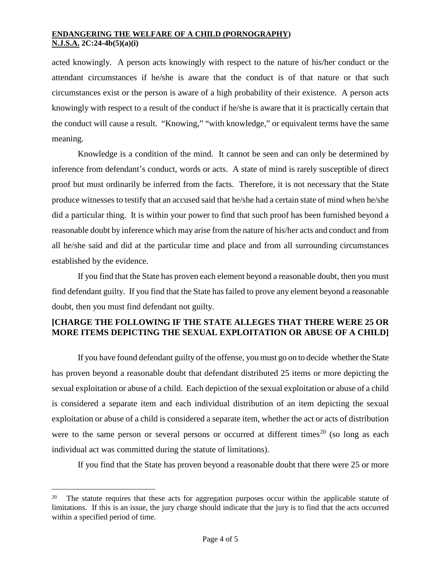acted knowingly. A person acts knowingly with respect to the nature of his/her conduct or the attendant circumstances if he/she is aware that the conduct is of that nature or that such circumstances exist or the person is aware of a high probability of their existence. A person acts knowingly with respect to a result of the conduct if he/she is aware that it is practically certain that the conduct will cause a result. "Knowing," "with knowledge," or equivalent terms have the same meaning.

Knowledge is a condition of the mind. It cannot be seen and can only be determined by inference from defendant's conduct, words or acts. A state of mind is rarely susceptible of direct proof but must ordinarily be inferred from the facts. Therefore, it is not necessary that the State produce witnesses to testify that an accused said that he/she had a certain state of mind when he/she did a particular thing. It is within your power to find that such proof has been furnished beyond a reasonable doubt by inference which may arise from the nature of his/her acts and conduct and from all he/she said and did at the particular time and place and from all surrounding circumstances established by the evidence.

If you find that the State has proven each element beyond a reasonable doubt, then you must find defendant guilty. If you find that the State has failed to prove any element beyond a reasonable doubt, then you must find defendant not guilty.

# **[CHARGE THE FOLLOWING IF THE STATE ALLEGES THAT THERE WERE 25 OR MORE ITEMS DEPICTING THE SEXUAL EXPLOITATION OR ABUSE OF A CHILD]**

If you have found defendant guilty of the offense, you must go on to decide whether the State has proven beyond a reasonable doubt that defendant distributed 25 items or more depicting the sexual exploitation or abuse of a child. Each depiction of the sexual exploitation or abuse of a child is considered a separate item and each individual distribution of an item depicting the sexual exploitation or abuse of a child is considered a separate item, whether the act or acts of distribution were to the same person or several persons or occurred at different times<sup>[20](#page-3-0)</sup> (so long as each individual act was committed during the statute of limitations).

If you find that the State has proven beyond a reasonable doubt that there were 25 or more

<span id="page-3-0"></span>The statute requires that these acts for aggregation purposes occur within the applicable statute of limitations. If this is an issue, the jury charge should indicate that the jury is to find that the acts occurred within a specified period of time. Ĩ.